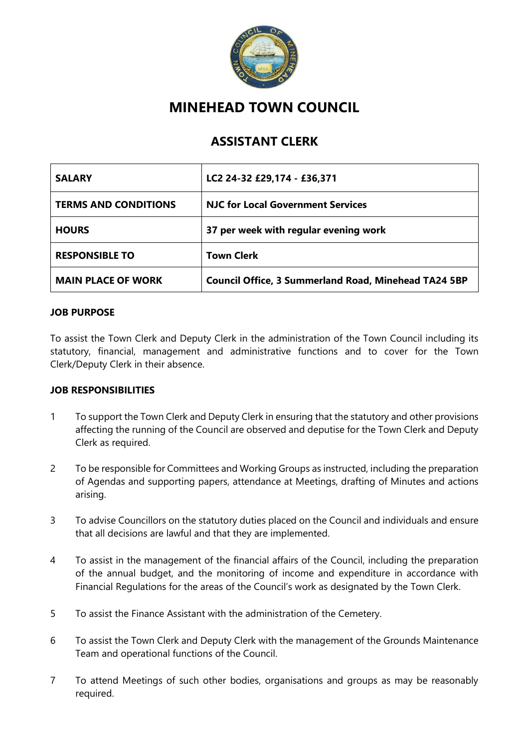

## **MINEHEAD TOWN COUNCIL**

## **ASSISTANT CLERK**

| <b>SALARY</b>               | LC2 24-32 £29,174 - £36,371                                 |
|-----------------------------|-------------------------------------------------------------|
| <b>TERMS AND CONDITIONS</b> | <b>NJC for Local Government Services</b>                    |
| <b>HOURS</b>                | 37 per week with regular evening work                       |
| <b>RESPONSIBLE TO</b>       | <b>Town Clerk</b>                                           |
| <b>MAIN PLACE OF WORK</b>   | <b>Council Office, 3 Summerland Road, Minehead TA24 5BP</b> |

## **JOB PURPOSE**

To assist the Town Clerk and Deputy Clerk in the administration of the Town Council including its statutory, financial, management and administrative functions and to cover for the Town Clerk/Deputy Clerk in their absence.

## **JOB RESPONSIBILITIES**

- 1 To support the Town Clerk and Deputy Clerk in ensuring that the statutory and other provisions affecting the running of the Council are observed and deputise for the Town Clerk and Deputy Clerk as required.
- 2 To be responsible for Committees and Working Groups as instructed, including the preparation of Agendas and supporting papers, attendance at Meetings, drafting of Minutes and actions arising.
- 3 To advise Councillors on the statutory duties placed on the Council and individuals and ensure that all decisions are lawful and that they are implemented.
- 4 To assist in the management of the financial affairs of the Council, including the preparation of the annual budget, and the monitoring of income and expenditure in accordance with Financial Regulations for the areas of the Council's work as designated by the Town Clerk.
- 5 To assist the Finance Assistant with the administration of the Cemetery.
- 6 To assist the Town Clerk and Deputy Clerk with the management of the Grounds Maintenance Team and operational functions of the Council.
- 7 To attend Meetings of such other bodies, organisations and groups as may be reasonably required.